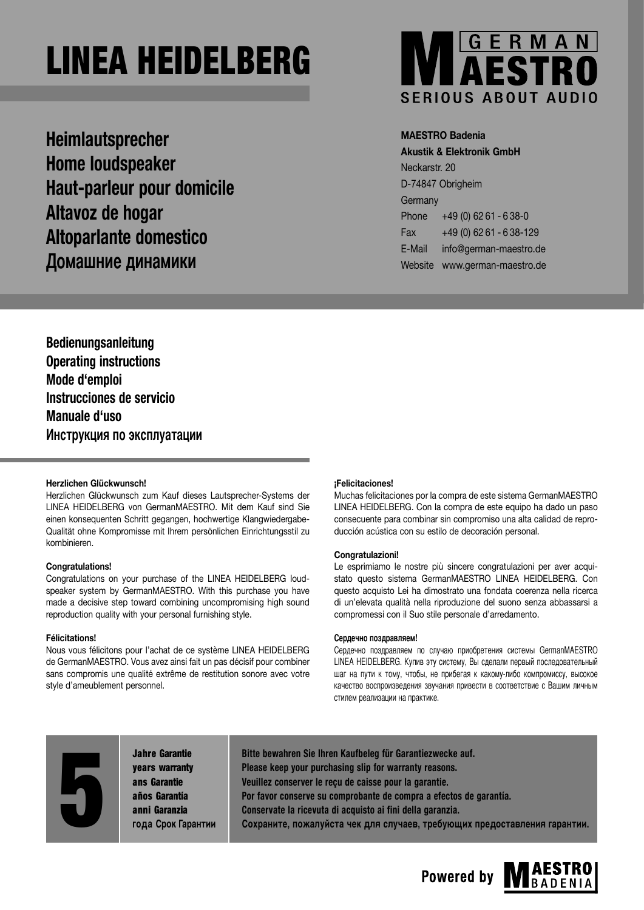**Heimlautsprecher Home loudspeaker Haut-parleur pour domicile Altavoz de hogar Altoparlante domestico Домашние динамики**



# **MAESTRO Badenia**

**Akustik & Elektronik GmbH** Neckarstr. 20 D-74847 Obrigheim **Germany** Phone +49 (0) 62 61 - 6 38-0 Fax +49 (0) 62 61 - 6 38-129 E-Mail info@german-maestro.de Website www.german-maestro.de

**Bedienungsanleitung Operating instructions Mode d'emploi Instrucciones de servicio Manuale d'uso Инструкция по эксплуатации**

# **Herzlichen Glückwunsch!**

Herzlichen Glückwunsch zum Kauf dieses Lautsprecher-Systems der LINEA HEIDELBERG von GermanMAESTRO. Mit dem Kauf sind Sie einen konsequenten Schritt gegangen, hochwertige Klangwiedergabe-Qualität ohne Kompromisse mit Ihrem persönlichen Einrichtungsstil zu kombinieren.

# **Congratulations!**

Congratulations on your purchase of the LINEA HEIDELBERG loudspeaker system by GermanMAESTRO. With this purchase you have made a decisive step toward combining uncompromising high sound reproduction quality with your personal furnishing style.

# **Félicitations!**

Nous vous félicitons pour l'achat de ce système LINEA HEIDELBERG de GermanMAESTRO. Vous avez ainsi fait un pas décisif pour combiner sans compromis une qualité extrême de restitution sonore avec votre style d'ameublement personnel.

# **¡Felicitaciones!**

Muchas felicitaciones por la compra de este sistema GermanMAESTRO LINEA HEIDELBERG. Con la compra de este equipo ha dado un paso consecuente para combinar sin compromiso una alta calidad de reproducción acústica con su estilo de decoración personal.

# **Congratulazioni!**

Le esprimiamo le nostre più sincere congratulazioni per aver acquistato questo sistema GermanMAESTRO LINEA HEIDELBERG. Con questo acquisto Lei ha dimostrato una fondata coerenza nella ricerca di un'elevata qualità nella riproduzione del suono senza abbassarsi a compromessi con il Suo stile personale d'arredamento.

# **Сердечно поздравляем!**

Сердечно поздравляем по случаю приобретения системы GermanMAESTRO LINEA HEIDELBERG. Kупив эту систему, Bы сделали первый последовательный шаг на пути к тому, чтобы, не прибегая к какому-либо компромиссу, высокое качество воспроизведения звучания привести в соответствие с Bашим личным стилем реализации на практике.

Jahre Garantie years warranty ans Garantie años Garantía **Principal State Garantie<br>
Principal State Garantia<br>
Principal State Garantia<br>
Principal State Chock Gapanthum**  **Bitte bewahren Sie Ihren Kaufbeleg für Garantiezwecke auf. Please keep your purchasing slip for warranty reasons. Veuillez conserver le reçu de caisse pour la garantie. Por favor conserve su comprobante de compra a efectos de garantía. Conservate la ricevuta di acquisto ai fini della garanzia.** Сохраните, пожалуйста чек для случаев, требующих предоставления гарантии.

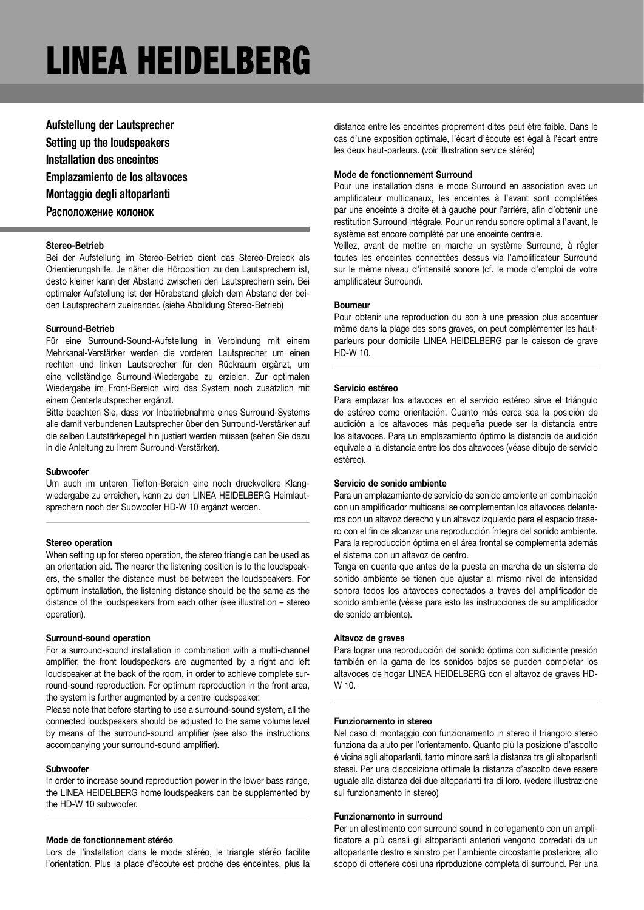**Aufstellung der Lautsprecher Setting up the loudspeakers Installation des enceintes Emplazamiento de los altavoces Montaggio degli altoparlanti Расположение колонок**

# **Stereo-Betrieb**

Bei der Aufstellung im Stereo-Betrieb dient das Stereo-Dreieck als Orientierungshilfe. Je näher die Hörposition zu den Lautsprechern ist, desto kleiner kann der Abstand zwischen den Lautsprechern sein. Bei optimaler Aufstellung ist der Hörabstand gleich dem Abstand der beiden Lautsprechern zueinander. (siehe Abbildung Stereo-Betrieb)

# **Surround-Betrieb**

Für eine Surround-Sound-Aufstellung in Verbindung mit einem Mehrkanal-Verstärker werden die vorderen Lautsprecher um einen rechten und linken Lautsprecher für den Rückraum ergänzt, um eine vollständige Surround-Wiedergabe zu erzielen. Zur optimalen Wiedergabe im Front-Bereich wird das System noch zusätzlich mit einem Centerlautsprecher ergänzt.

Bitte beachten Sie, dass vor Inbetriebnahme eines Surround-Systems alle damit verbundenen Lautsprecher über den Surround-Verstärker auf die selben Lautstärkepegel hin justiert werden müssen (sehen Sie dazu in die Anleitung zu Ihrem Surround-Verstärker).

# **Subwoofer**

Um auch im unteren Tiefton-Bereich eine noch druckvollere Klangwiedergabe zu erreichen, kann zu den LINEA HEIDELBERG Heimlautsprechern noch der Subwoofer HD-W 10 ergänzt werden.

### **Stereo operation**

When setting up for stereo operation, the stereo triangle can be used as an orientation aid. The nearer the listening position is to the loudspeakers, the smaller the distance must be between the loudspeakers. For optimum installation, the listening distance should be the same as the distance of the loudspeakers from each other (see illustration – stereo operation).

#### **Surround-sound operation**

For a surround-sound installation in combination with a multi-channel amplifier, the front loudspeakers are augmented by a right and left loudspeaker at the back of the room, in order to achieve complete surround-sound reproduction. For optimum reproduction in the front area, the system is further augmented by a centre loudspeaker.

Please note that before starting to use a surround-sound system, all the connected loudspeakers should be adjusted to the same volume level by means of the surround-sound amplifier (see also the instructions accompanying your surround-sound amplifier).

#### **Subwoofer**

In order to increase sound reproduction power in the lower bass range, the LINEA HEIDELBERG home loudspeakers can be supplemented by the HD-W 10 subwoofer.

#### **Mode de fonctionnement stéréo**

Lors de l'installation dans le mode stéréo, le triangle stéréo facilite l'orientation. Plus la place d'écoute est proche des enceintes, plus la

distance entre les enceintes proprement dites peut être faible. Dans le cas d'une exposition optimale, l'écart d'écoute est égal à l'écart entre les deux haut-parleurs. (voir illustration service stéréo)

# **Mode de fonctionnement Surround**

Pour une installation dans le mode Surround en association avec un amplificateur multicanaux, les enceintes à l'avant sont complétées par une enceinte à droite et à gauche pour l'arrière, afin d'obtenir une restitution Surround intégrale. Pour un rendu sonore optimal à l'avant, le système est encore complété par une enceinte centrale.

Veillez, avant de mettre en marche un système Surround, à régler toutes les enceintes connectées dessus via l'amplificateur Surround sur le même niveau d'intensité sonore (cf. le mode d'emploi de votre amplificateur Surround).

# **Boumeur**

Pour obtenir une reproduction du son à une pression plus accentuer même dans la plage des sons graves, on peut complémenter les hautparleurs pour domicile LINEA HEIDELBERG par le caisson de grave HD-W 10.

# **Servicio estéreo**

Para emplazar los altavoces en el servicio estéreo sirve el triángulo de estéreo como orientación. Cuanto más cerca sea la posición de audición a los altavoces más pequeña puede ser la distancia entre los altavoces. Para un emplazamiento óptimo la distancia de audición equivale a la distancia entre los dos altavoces (véase dibujo de servicio estéreo).

# **Servicio de sonido ambiente**

Para un emplazamiento de servicio de sonido ambiente en combinación con un amplificador multicanal se complementan los altavoces delanteros con un altavoz derecho y un altavoz izquierdo para el espacio trasero con el fin de alcanzar una reproducción íntegra del sonido ambiente. Para la reproducción óptima en el área frontal se complementa además el sistema con un altavoz de centro.

Tenga en cuenta que antes de la puesta en marcha de un sistema de sonido ambiente se tienen que ajustar al mismo nivel de intensidad sonora todos los altavoces conectados a través del amplificador de sonido ambiente (véase para esto las instrucciones de su amplificador de sonido ambiente).

#### **Altavoz de graves**

Para lograr una reproducción del sonido óptima con suficiente presión también en la gama de los sonidos bajos se pueden completar los altavoces de hogar LINEA HEIDELBERG con el altavoz de graves HD-W 10.

# **Funzionamento in stereo**

Nel caso di montaggio con funzionamento in stereo il triangolo stereo funziona da aiuto per l'orientamento. Quanto più la posizione d'ascolto è vicina agli altoparlanti, tanto minore sarà la distanza tra gli altoparlanti stessi. Per una disposizione ottimale la distanza d'ascolto deve essere uguale alla distanza dei due altoparlanti tra di loro. (vedere illustrazione sul funzionamento in stereo)

# **Funzionamento in surround**

Per un allestimento con surround sound in collegamento con un amplificatore a più canali gli altoparlanti anteriori vengono corredati da un altoparlante destro e sinistro per l'ambiente circostante posteriore, allo scopo di ottenere così una riproduzione completa di surround. Per una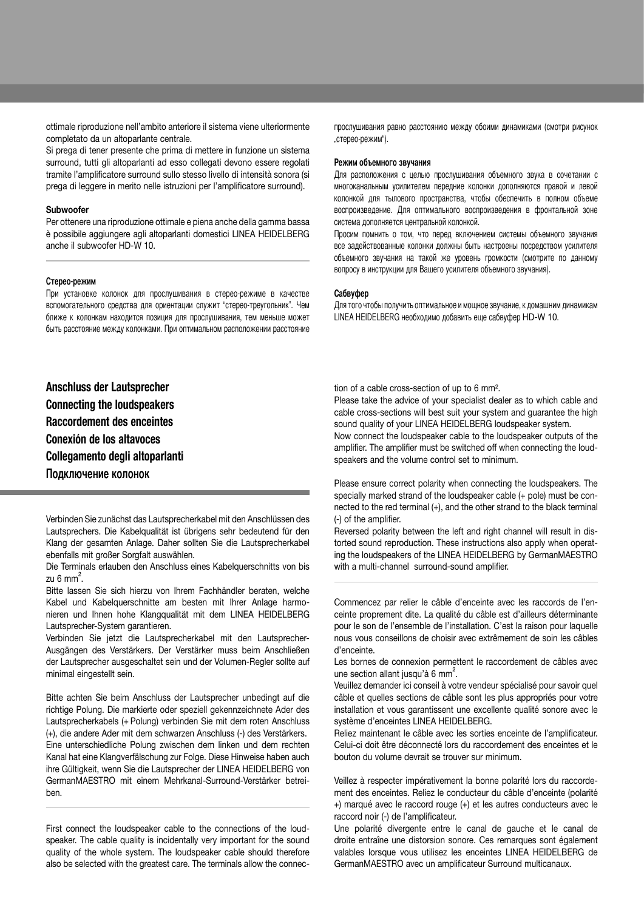ottimale riproduzione nell'ambito anteriore il sistema viene ulteriormente completato da un altoparlante centrale.

Si prega di tener presente che prima di mettere in funzione un sistema surround, tutti gli altoparlanti ad esso collegati devono essere regolati tramite l'amplificatore surround sullo stesso livello di intensità sonora (si prega di leggere in merito nelle istruzioni per l'amplificatore surround).

### **Subwoofer**

Per ottenere una riproduzione ottimale e piena anche della gamma bassa è possibile aggiungere agli altoparlanti domestici LINEA HEIDELBERG anche il subwoofer HD-W 10.

# **Стерео-режим**

При установке колонок для прослушивания в стерео-режиме в качестве вспомогательного средства для ориентации служит "стерео-треугольник". Чем ближе к колонкам находится позиция для прослушивания, тем меньше может быть расстояние между колонками. При оптимальном расположении расстояние

**Anschluss der Lautsprecher Connecting the loudspeakers Raccordement des enceintes Conexión de los altavoces Collegamento degli altoparlanti Подключение колонок** 

Verbinden Sie zunächst das Lautsprecherkabel mit den Anschlüssen des Lautsprechers. Die Kabelqualität ist übrigens sehr bedeutend für den Klang der gesamten Anlage. Daher sollten Sie die Lautsprecherkabel ebenfalls mit großer Sorgfalt auswählen.

Die Terminals erlauben den Anschluss eines Kabelquerschnitts von bis zu 6 mm<sup>2</sup>.

Bitte lassen Sie sich hierzu von Ihrem Fachhändler beraten, welche Kabel und Kabelquerschnitte am besten mit Ihrer Anlage harmonieren und Ihnen hohe Klangqualität mit dem LINEA HEIDELBERG Lautsprecher-System garantieren.

Verbinden Sie jetzt die Lautsprecherkabel mit den Lautsprecher-Ausgängen des Verstärkers. Der Verstärker muss beim Anschließen der Lautsprecher ausgeschaltet sein und der Volumen-Regler sollte auf minimal eingestellt sein.

Bitte achten Sie beim Anschluss der Lautsprecher unbedingt auf die richtige Polung. Die markierte oder speziell gekennzeichnete Ader des Lautsprecherkabels (+ Polung) verbinden Sie mit dem roten Anschluss (+), die andere Ader mit dem schwarzen Anschluss (-) des Verstärkers. Eine unterschiedliche Polung zwischen dem linken und dem rechten Kanal hat eine Klangverfälschung zur Folge. Diese Hinweise haben auch ihre Gültigkeit, wenn Sie die Lautsprecher der LINEA HEIDELBERG von GermanMAESTRO mit einem Mehrkanal-Surround-Verstärker betreiben.

First connect the loudspeaker cable to the connections of the loudspeaker. The cable quality is incidentally very important for the sound quality of the whole system. The loudspeaker cable should therefore also be selected with the greatest care. The terminals allow the connecпрослушивания равно расстоянию между обоими динамиками (смотри рисунок "стерео-режим").

#### **Режим объемного звучания**

Для расположения с целью прослушивания объемного звука в сочетании с многоканальным усилителем передние колонки дополняются правой и левой колонкой для тылового пространства, чтобы обеспечить в полном объеме воспроизведение. Для оптимального воспроизведения в фронтальной зоне система дополняется центральной колонкой.

Просим помнить о том, что перед включением системы объемного звучания все задействованные колонки должны быть настроены посредством усилителя объемного звучания на такой же уровень громкости (смотрите по данному вопросу в инструкции для Bашего усилителя объемного звучания).

### **Сабвуфер**

Для того чтобы получить оптимальное и мощное звучание, к домашним динамикам LINEA HEIDELBERG необходимо добавить еще сабвуфер HD-W 10.

tion of a cable cross-section of up to 6 mm².

Please take the advice of your specialist dealer as to which cable and cable cross-sections will best suit your system and guarantee the high sound quality of your LINEA HEIDELBERG loudspeaker system.

Now connect the loudspeaker cable to the loudspeaker outputs of the amplifier. The amplifier must be switched off when connecting the loudspeakers and the volume control set to minimum.

Please ensure correct polarity when connecting the loudspeakers. The specially marked strand of the loudspeaker cable (+ pole) must be connected to the red terminal (+), and the other strand to the black terminal (-) of the amplifier.

Reversed polarity between the left and right channel will result in distorted sound reproduction. These instructions also apply when operating the loudspeakers of the LINEA HEIDELBERG by GermanMAESTRO with a multi-channel surround-sound amplifier.

Commencez par relier le câble d'enceinte avec les raccords de l'enceinte proprement dite. La qualité du câble est d'ailleurs déterminante pour le son de l'ensemble de l'installation. C'est la raison pour laquelle nous vous conseillons de choisir avec extrêmement de soin les câbles d'enceinte.

Les bornes de connexion permettent le raccordement de câbles avec une section allant jusqu'à 6 mm<sup>2</sup>.

Veuillez demander ici conseil à votre vendeur spécialisé pour savoir quel câble et quelles sections de câble sont les plus appropriés pour votre installation et vous garantissent une excellente qualité sonore avec le système d'enceintes LINEA HEIDELBERG.

Reliez maintenant le câble avec les sorties enceinte de l'amplificateur. Celui-ci doit être déconnecté lors du raccordement des enceintes et le bouton du volume devrait se trouver sur minimum.

Veillez à respecter impérativement la bonne polarité lors du raccordement des enceintes. Reliez le conducteur du câble d'enceinte (polarité +) marqué avec le raccord rouge (+) et les autres conducteurs avec le raccord noir (-) de l'amplificateur.

Une polarité divergente entre le canal de gauche et le canal de droite entraîne une distorsion sonore. Ces remarques sont également valables lorsque vous utilisez les enceintes LINEA HEIDELBERG de GermanMAESTRO avec un amplificateur Surround multicanaux.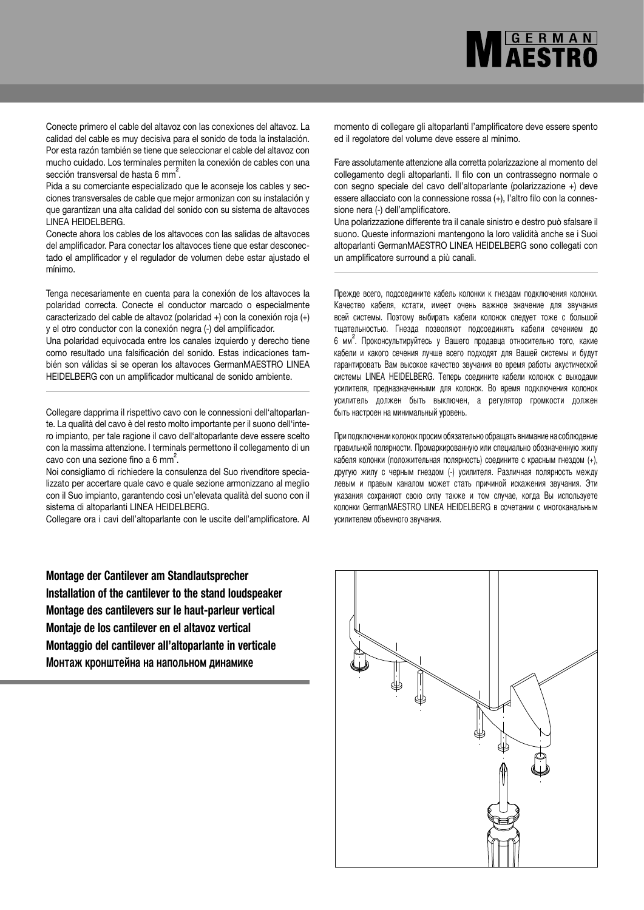Conecte primero el cable del altavoz con las conexiones del altavoz. La calidad del cable es muy decisiva para el sonido de toda la instalación. Por esta razón también se tiene que seleccionar el cable del altavoz con mucho cuidado. Los terminales permiten la conexión de cables con una sección transversal de hasta 6 mm<sup>2</sup>.

Pida a su comerciante especializado que le aconseje los cables y secciones transversales de cable que mejor armonizan con su instalación y que garantizan una alta calidad del sonido con su sistema de altavoces LINEA HEIDELBERG.

Conecte ahora los cables de los altavoces con las salidas de altavoces del amplificador. Para conectar los altavoces tiene que estar desconectado el amplificador y el regulador de volumen debe estar ajustado el mínimo.

Tenga necesariamente en cuenta para la conexión de los altavoces la polaridad correcta. Conecte el conductor marcado o especialmente caracterizado del cable de altavoz (polaridad +) con la conexión roja (+) y el otro conductor con la conexión negra (-) del amplificador.

Una polaridad equivocada entre los canales izquierdo y derecho tiene como resultado una falsificación del sonido. Estas indicaciones también son válidas si se operan los altavoces GermanMAESTRO LINEA HEIDELBERG con un amplificador multicanal de sonido ambiente.

Collegare dapprima il rispettivo cavo con le connessioni dell'altoparlante. La qualità del cavo è del resto molto importante per il suono dell'intero impianto, per tale ragione il cavo dell'altoparlante deve essere scelto con la massima attenzione. I terminals permettono il collegamento di un cavo con una sezione fino a 6 mm².

Noi consigliamo di richiedere la consulenza del Suo rivenditore specializzato per accertare quale cavo e quale sezione armonizzano al meglio con il Suo impianto, garantendo così un'elevata qualità del suono con il sistema di altoparlanti LINEA HEIDELBERG.

Collegare ora i cavi dell'altoparlante con le uscite dell'amplificatore. Al

**Montage der Cantilever am Standlautsprecher Installation of the cantilever to the stand loudspeaker Montage des cantilevers sur le haut-parleur vertical Montaje de los cantilever en el altavoz vertical Montaggio del cantilever all'altoparlante in verticale Монтаж кронштейна на напольном динамике**

momento di collegare gli altoparlanti l'amplificatore deve essere spento ed il regolatore del volume deve essere al minimo.

**MEERMAN** 

Fare assolutamente attenzione alla corretta polarizzazione al momento del collegamento degli altoparlanti. Il filo con un contrassegno normale o con segno speciale del cavo dell'altoparlante (polarizzazione +) deve essere allacciato con la connessione rossa (+), l'altro filo con la connessione nera (-) dell'amplificatore.

Una polarizzazione differente tra il canale sinistro e destro può sfalsare il suono. Queste informazioni mantengono la loro validità anche se i Suoi altoparlanti GermanMAESTRO LINEA HEIDELBERG sono collegati con un amplificatore surround a più canali.

Прежде всего, подсоедините кабель колонки к гнездам подключения колонки. Kачество кабеля, кстати, имеет очень важное значение для звучания всей системы. Поэтому выбирать кабели колонок следует тоже с большой тщательностью. Гнезда позволяют подсоединять кабели сечением до 6 мм². Проконсультируйтесь у Bашего продавца относительно того, какие кабели и какого сечения лучше всего подходят для Bашей системы и будут гарантировать Bам высокое качество звучания во время работы акустической системы LINEA HEIDELBERG. Tеперь соедините кабели колонок с выходами усилителя, предназначенными для колонок. Bо время подключения колонок усилитель должен быть выключен, а регулятор громкости должен быть настроен на минимальный уровень.

При подключении колонок просим обязательно обращать внимание на соблюдение правильной полярности. Промаркированную или специально обозначенную жилу кабеля колонки (положительная полярность) соедините с красным гнездом (+), другую жилу с черным гнездом (-) усилителя. Различная полярность между левым и правым каналом может стать причиной искажения звучания. Эти указания сохраняют свою силу также и том случае, когда Bы используете колонки GermanMAESTRO LINEA HEIDELBERG в сочетании с многоканальным усилителем объемного звучания.

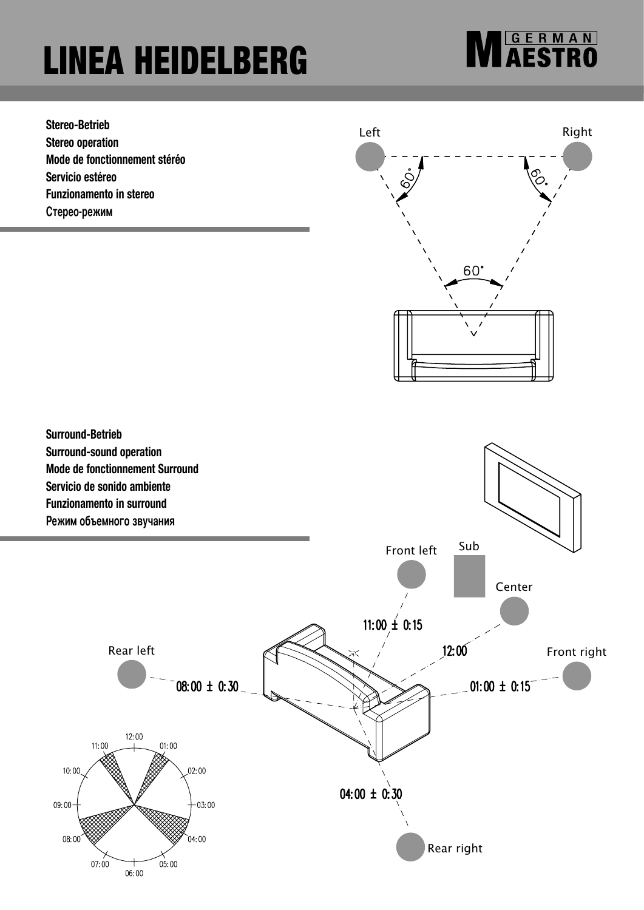**MESTRO** 

**Stereo-Betrieb Stereo operation Mode de fonctionnement stéréo Servicio estéreo Funzionamento in stereo Стерео-режим**



**Surround-Betrieb Surround-sound operation Mode de fonctionnement Surround Servicio de sonido ambiente Funzionamento in surround**